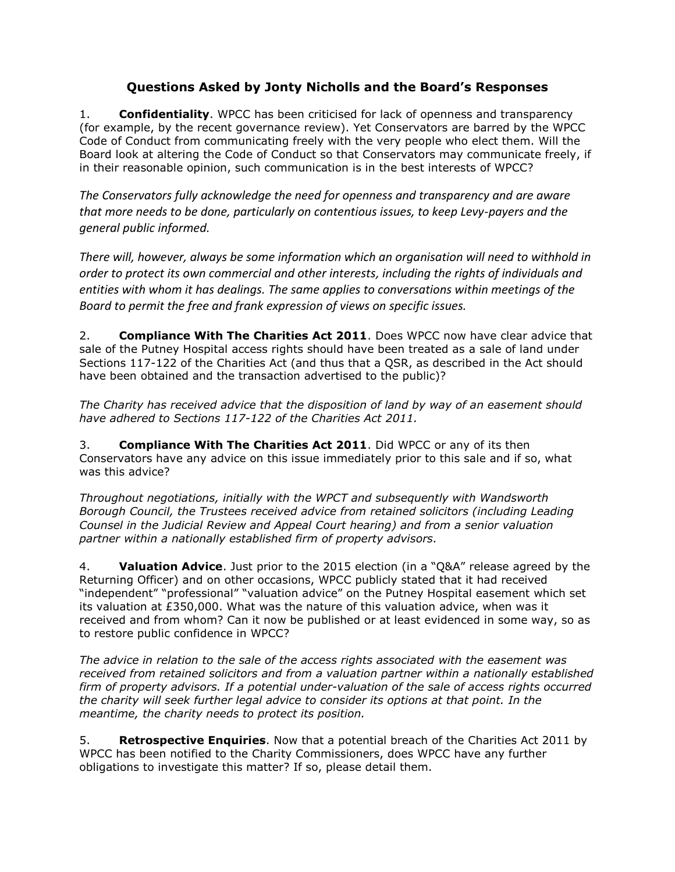## **Questions Asked by Jonty Nicholls and the Board's Responses**

1. **Confidentiality**. WPCC has been criticised for lack of openness and transparency (for example, by the recent governance review). Yet Conservators are barred by the WPCC Code of Conduct from communicating freely with the very people who elect them. Will the Board look at altering the Code of Conduct so that Conservators may communicate freely, if in their reasonable opinion, such communication is in the best interests of WPCC?

*The Conservators fully acknowledge the need for openness and transparency and are aware that more needs to be done, particularly on contentious issues, to keep Levy-payers and the general public informed.*

*There will, however, always be some information which an organisation will need to withhold in order to protect its own commercial and other interests, including the rights of individuals and entities with whom it has dealings. The same applies to conversations within meetings of the Board to permit the free and frank expression of views on specific issues.* 

2. **Compliance With The Charities Act 2011**. Does WPCC now have clear advice that sale of the Putney Hospital access rights should have been treated as a sale of land under Sections 117-122 of the Charities Act (and thus that a QSR, as described in the Act should have been obtained and the transaction advertised to the public)?

*The Charity has received advice that the disposition of land by way of an easement should have adhered to Sections 117-122 of the Charities Act 2011.* 

3. **Compliance With The Charities Act 2011**. Did WPCC or any of its then Conservators have any advice on this issue immediately prior to this sale and if so, what was this advice?

*Throughout negotiations, initially with the WPCT and subsequently with Wandsworth Borough Council, the Trustees received advice from retained solicitors (including Leading Counsel in the Judicial Review and Appeal Court hearing) and from a senior valuation partner within a nationally established firm of property advisors.* 

4. **Valuation Advice**. Just prior to the 2015 election (in a "Q&A" release agreed by the Returning Officer) and on other occasions, WPCC publicly stated that it had received "independent" "professional" "valuation advice" on the Putney Hospital easement which set its valuation at £350,000. What was the nature of this valuation advice, when was it received and from whom? Can it now be published or at least evidenced in some way, so as to restore public confidence in WPCC?

*The advice in relation to the sale of the access rights associated with the easement was received from retained solicitors and from a valuation partner within a nationally established firm of property advisors. If a potential under-valuation of the sale of access rights occurred the charity will seek further legal advice to consider its options at that point. In the meantime, the charity needs to protect its position.*

5. **Retrospective Enquiries**. Now that a potential breach of the Charities Act 2011 by WPCC has been notified to the Charity Commissioners, does WPCC have any further obligations to investigate this matter? If so, please detail them.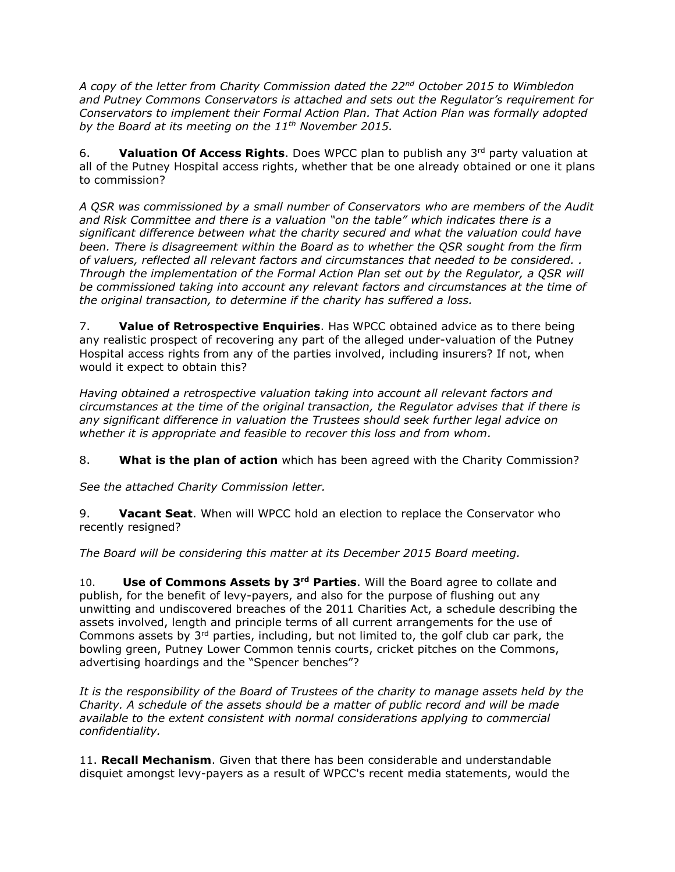*A copy of the letter from Charity Commission dated the 22nd October 2015 to Wimbledon and Putney Commons Conservators is attached and sets out the Regulator's requirement for Conservators to implement their Formal Action Plan. That Action Plan was formally adopted by the Board at its meeting on the 11th November 2015.*

6. **Valuation Of Access Rights**. Does WPCC plan to publish any 3rd party valuation at all of the Putney Hospital access rights, whether that be one already obtained or one it plans to commission?

*A QSR was commissioned by a small number of Conservators who are members of the Audit and Risk Committee and there is a valuation "on the table" which indicates there is a significant difference between what the charity secured and what the valuation could have been. There is disagreement within the Board as to whether the QSR sought from the firm of valuers, reflected all relevant factors and circumstances that needed to be considered. . Through the implementation of the Formal Action Plan set out by the Regulator, a QSR will be commissioned taking into account any relevant factors and circumstances at the time of the original transaction, to determine if the charity has suffered a loss.*

7. **Value of Retrospective Enquiries**. Has WPCC obtained advice as to there being any realistic prospect of recovering any part of the alleged under-valuation of the Putney Hospital access rights from any of the parties involved, including insurers? If not, when would it expect to obtain this?

*Having obtained a retrospective valuation taking into account all relevant factors and circumstances at the time of the original transaction, the Regulator advises that if there is any significant difference in valuation the Trustees should seek further legal advice on whether it is appropriate and feasible to recover this loss and from whom.*

8. **What is the plan of action** which has been agreed with the Charity Commission?

*See the attached Charity Commission letter.*

9. **Vacant Seat**. When will WPCC hold an election to replace the Conservator who recently resigned?

*The Board will be considering this matter at its December 2015 Board meeting.*

10. **Use of Commons Assets by 3rd Parties**. Will the Board agree to collate and publish, for the benefit of levy-payers, and also for the purpose of flushing out any unwitting and undiscovered breaches of the 2011 Charities Act, a schedule describing the assets involved, length and principle terms of all current arrangements for the use of Commons assets by  $3<sup>rd</sup>$  parties, including, but not limited to, the golf club car park, the bowling green, Putney Lower Common tennis courts, cricket pitches on the Commons, advertising hoardings and the "Spencer benches"?

*It is the responsibility of the Board of Trustees of the charity to manage assets held by the Charity. A schedule of the assets should be a matter of public record and will be made available to the extent consistent with normal considerations applying to commercial confidentiality.*

11. **Recall Mechanism**. Given that there has been considerable and understandable disquiet amongst levy-payers as a result of WPCC's recent media statements, would the